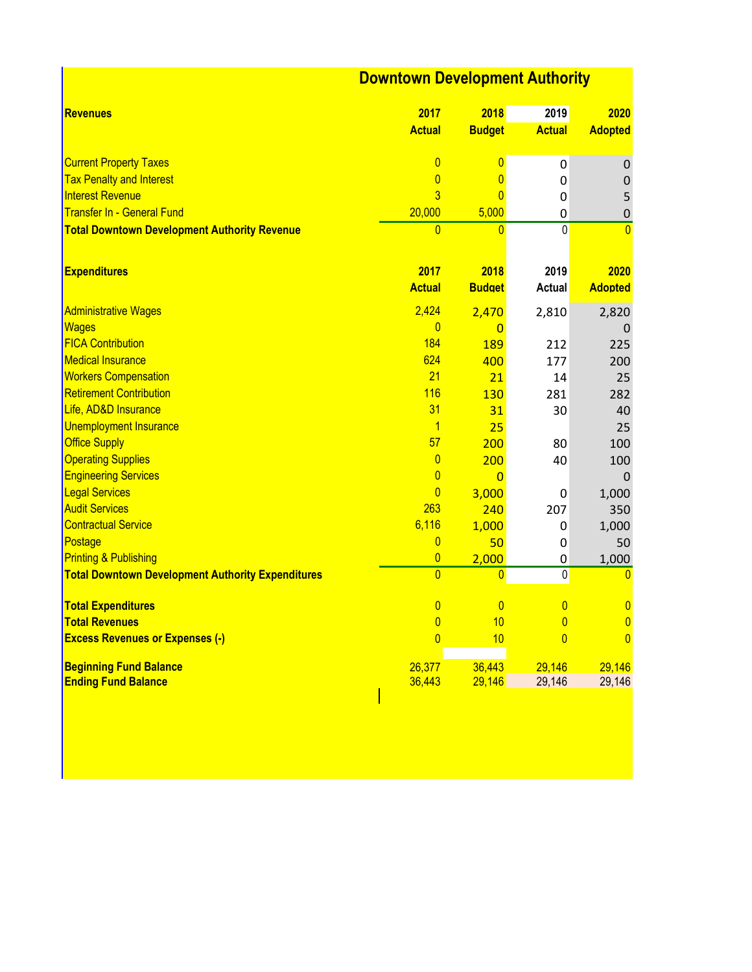## **Downtown Development Authority**

| <b>Revenues</b>                                          | 2017<br><b>Actual</b> | 2018<br><b>Budget</b> | 2019<br><b>Actual</b> | 2020<br><b>Adopted</b> |
|----------------------------------------------------------|-----------------------|-----------------------|-----------------------|------------------------|
|                                                          |                       |                       |                       |                        |
| <b>Current Property Taxes</b>                            | $\overline{0}$        | $\overline{0}$        | 0                     | 0                      |
| <b>Tax Penalty and Interest</b>                          | $\overline{0}$        | $\overline{0}$        | 0                     | 0                      |
| <b>Interest Revenue</b>                                  | $\overline{3}$        | $\overline{0}$        | 0                     | 5                      |
| <b>Transfer In - General Fund</b>                        | 20,000                | 5,000                 | $\mathbf 0$           | $\mathbf 0$            |
| <b>Total Downtown Development Authority Revenue</b>      | $\overline{0}$        | $\overline{0}$        | $\overline{0}$        | $\overline{0}$         |
|                                                          |                       |                       |                       |                        |
| <b>Expenditures</b>                                      | 2017                  | 2018                  | 2019                  | 2020                   |
|                                                          | <b>Actual</b>         | <b>Budget</b>         | <b>Actual</b>         | <b>Adopted</b>         |
| <b>Administrative Wages</b>                              | 2,424                 | 2,470                 | 2,810                 | 2,820                  |
| Wages                                                    | $\overline{0}$        | $\overline{0}$        |                       | 0                      |
| <b>FICA Contribution</b>                                 | 184                   | <b>189</b>            | 212                   | 225                    |
| <b>Medical Insurance</b>                                 | 624                   | 400                   | 177                   | 200                    |
| <b>Workers Compensation</b>                              | 21                    | 21                    | 14                    | 25                     |
| <b>Retirement Contribution</b>                           | 116                   | 130                   | 281                   | 282                    |
| Life, AD&D Insurance                                     | 31                    | 31                    | 30                    | 40                     |
| <b>Unemployment Insurance</b>                            | $\overline{1}$        | 25                    |                       | 25                     |
| <b>Office Supply</b>                                     | 57                    | 200                   | 80                    | 100                    |
| <b>Operating Supplies</b>                                | $\overline{0}$        | 200                   | 40                    | 100                    |
| <b>Engineering Services</b>                              | $\overline{0}$        | $\overline{0}$        |                       | 0                      |
| <b>Legal Services</b>                                    | $\overline{0}$        | 3,000                 | 0                     | 1,000                  |
| <b>Audit Services</b>                                    | 263                   | 240                   | 207                   | 350                    |
| <b>Contractual Service</b>                               | 6,116                 | 1,000                 | 0                     | 1,000                  |
| Postage                                                  | $\overline{0}$        | 50                    | 0                     | 50                     |
| <b>Printing &amp; Publishing</b>                         | $\overline{0}$        | 2,000                 | 0                     | 1,000                  |
| <b>Total Downtown Development Authority Expenditures</b> | $\overline{0}$        | $\overline{0}$        | 0                     | $\mathbf{0}$           |
| <b>Total Expenditures</b>                                | $\overline{0}$        | $\overline{0}$        | $\overline{0}$        | $\mathbf 0$            |
| <b>Total Revenues</b>                                    | $\overline{0}$        | 10                    | $\overline{0}$        | $\mathbf 0$            |
| <b>Excess Revenues or Expenses (-)</b>                   | $\overline{0}$        | 10                    | $\overline{0}$        | $\overline{0}$         |
| <b>Beginning Fund Balance</b>                            | 26,377                | 36,443                | 29,146                | 29,146                 |
| <b>Ending Fund Balance</b>                               | 36,443                | 29,146                | 29,146                | 29,146                 |
|                                                          |                       |                       |                       |                        |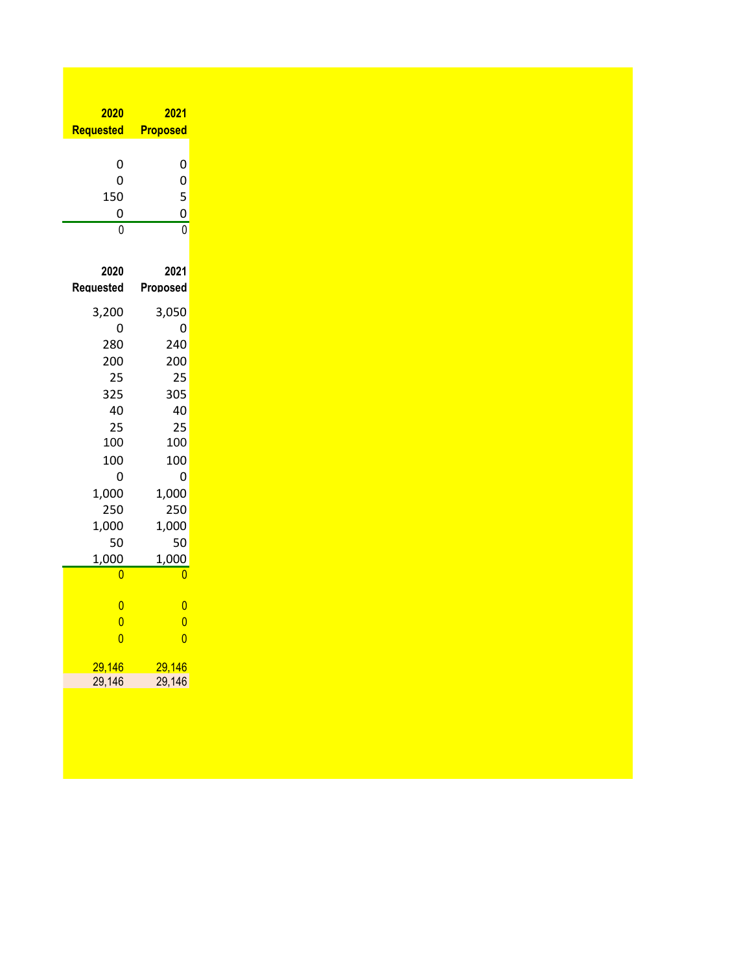| 2020             | <b>2021</b>                      |  |  |
|------------------|----------------------------------|--|--|
| <b>Requested</b> | <b>Proposed</b>                  |  |  |
|                  |                                  |  |  |
| 0                | 0                                |  |  |
| 0                | $\mathbf{0}$                     |  |  |
| 150              | $\frac{5}{0}$                    |  |  |
| 0                |                                  |  |  |
| Ō                | $\overline{0}$                   |  |  |
|                  |                                  |  |  |
| 2020             | 2021                             |  |  |
| Requested        | Proposed                         |  |  |
| 3,200            | 3,050                            |  |  |
| 0                | 0                                |  |  |
| 280              | 240                              |  |  |
| 200              | 200                              |  |  |
| 25               | 25                               |  |  |
| 325              | 305                              |  |  |
| 40               | 40                               |  |  |
| 25               | 25                               |  |  |
| 100              | 100                              |  |  |
| 100              | 100                              |  |  |
| 0                | 0                                |  |  |
| 1,000            | 1,000                            |  |  |
| 250              | 250                              |  |  |
| 1,000            | 1,000                            |  |  |
| 50               | 50                               |  |  |
| 1,000            | 1,000                            |  |  |
| 0                | 0                                |  |  |
| $\overline{0}$   |                                  |  |  |
| $\overline{0}$   | $\overline{0}$<br>$\overline{0}$ |  |  |
| $\overline{0}$   | $\overline{0}$                   |  |  |
|                  |                                  |  |  |
| 29,146           | <mark>29,146</mark>              |  |  |
| 29,146           | 29,146                           |  |  |